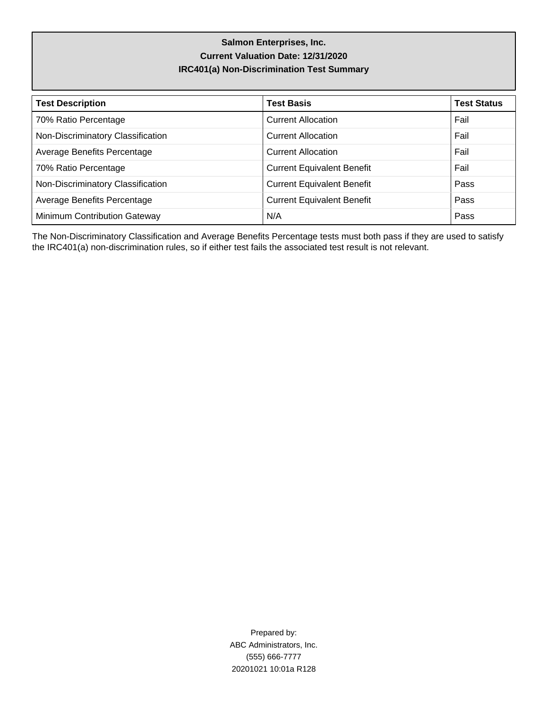# **Salmon Enterprises, Inc. Current Valuation Date: 12/31/2020 IRC401(a) Non-Discrimination Test Summary**

| <b>Test Description</b>             | <b>Test Basis</b>                 | <b>Test Status</b> |
|-------------------------------------|-----------------------------------|--------------------|
| 70% Ratio Percentage                | <b>Current Allocation</b>         | Fail               |
| Non-Discriminatory Classification   | <b>Current Allocation</b>         | Fail               |
| Average Benefits Percentage         | <b>Current Allocation</b>         | Fail               |
| 70% Ratio Percentage                | <b>Current Equivalent Benefit</b> | Fail               |
| Non-Discriminatory Classification   | <b>Current Equivalent Benefit</b> | Pass               |
| Average Benefits Percentage         | <b>Current Equivalent Benefit</b> | Pass               |
| <b>Minimum Contribution Gateway</b> | N/A                               | Pass               |

The Non-Discriminatory Classification and Average Benefits Percentage tests must both pass if they are used to satisfy the IRC401(a) non-discrimination rules, so if either test fails the associated test result is not relevant.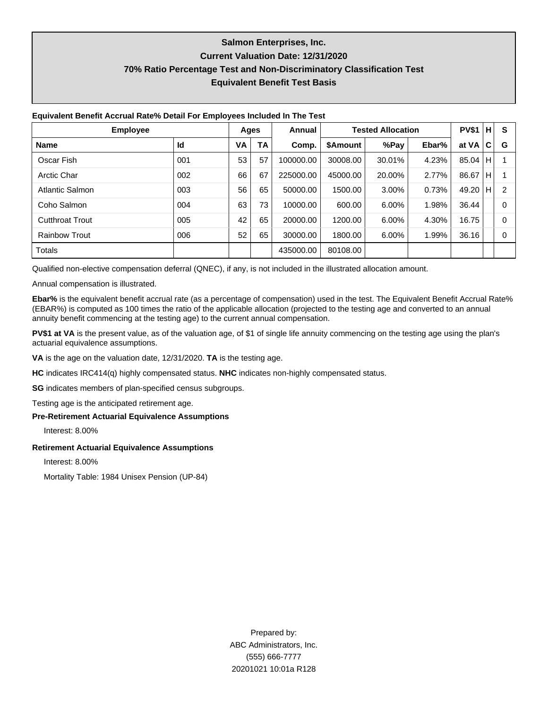# **Salmon Enterprises, Inc. Current Valuation Date: 12/31/2020 70% Ratio Percentage Test and Non-Discriminatory Classification Test Equivalent Benefit Test Basis**

| <b>Employee</b>        |     | Ages | Annual |           | <b>Tested Allocation</b> |        | <b>PV\$1</b> | н     | S    |   |
|------------------------|-----|------|--------|-----------|--------------------------|--------|--------------|-------|------|---|
| <b>Name</b>            | Id  | VA   | TA     | Comp.     | <b>\$Amount</b>          | %Pay   | Ebar%        | at VA | C    | G |
| Oscar Fish             | 001 | 53   | 57     | 100000.00 | 30008.00                 | 30.01% | 4.23%        | 85.04 | IН.  |   |
| <b>Arctic Char</b>     | 002 | 66   | 67     | 225000.00 | 45000.00                 | 20.00% | 2.77%        | 86.67 | IH.  |   |
| Atlantic Salmon        | 003 | 56   | 65     | 50000.00  | 1500.00                  | 3.00%  | 0.73%        | 49.20 | TH I | 2 |
| Coho Salmon            | 004 | 63   | 73     | 10000.00  | 600.00                   | 6.00%  | 1.98%        | 36.44 |      | 0 |
| <b>Cutthroat Trout</b> | 005 | 42   | 65     | 20000.00  | 1200.00                  | 6.00%  | 4.30%        | 16.75 |      | 0 |
| <b>Rainbow Trout</b>   | 006 | 52   | 65     | 30000.00  | 1800.00                  | 6.00%  | 1.99%        | 36.16 |      | 0 |
| <b>Totals</b>          |     |      |        | 435000.00 | 80108.00                 |        |              |       |      |   |

Qualified non-elective compensation deferral (QNEC), if any, is not included in the illustrated allocation amount.

Annual compensation is illustrated.

**Ebar%** is the equivalent benefit accrual rate (as a percentage of compensation) used in the test. The Equivalent Benefit Accrual Rate% (EBAR%) is computed as 100 times the ratio of the applicable allocation (projected to the testing age and converted to an annual annuity benefit commencing at the testing age) to the current annual compensation.

**PV\$1 at VA** is the present value, as of the valuation age, of \$1 of single life annuity commencing on the testing age using the plan's actuarial equivalence assumptions.

**VA** is the age on the valuation date, 12/31/2020. **TA** is the testing age.

**HC** indicates IRC414(q) highly compensated status. **NHC** indicates non-highly compensated status.

**SG** indicates members of plan-specified census subgroups.

Testing age is the anticipated retirement age.

#### **Pre-Retirement Actuarial Equivalence Assumptions**

Interest: 8.00%

### **Retirement Actuarial Equivalence Assumptions**

Interest: 8.00%

Mortality Table: 1984 Unisex Pension (UP-84)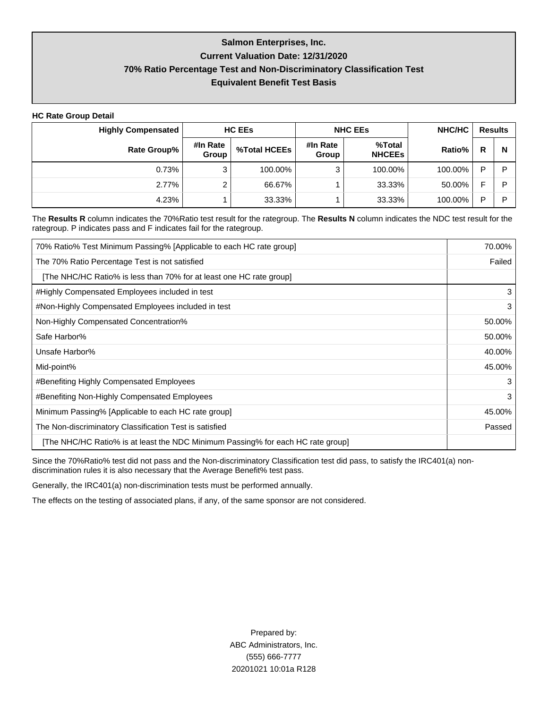### **Salmon Enterprises, Inc.**

### **Current Valuation Date: 12/31/2020**

## **70% Ratio Percentage Test and Non-Discriminatory Classification Test**

### **Equivalent Benefit Test Basis**

**HC Rate Group Detail**

| <b>Highly Compensated</b> |                   | <b>HC EEs</b> |                   | <b>NHC EES</b>          | NHC/HC  | <b>Results</b> |   |
|---------------------------|-------------------|---------------|-------------------|-------------------------|---------|----------------|---|
| Rate Group%               | #In Rate<br>Group | %Total HCEEs  | #In Rate<br>Group | %Total<br><b>NHCEES</b> | Ratio%  | R              | N |
| 0.73%                     | 3                 | 100.00%       | ◠                 | 100.00%                 | 100.00% | D              | D |
| 2.77%                     | ົ                 | 66.67%        |                   | 33.33%                  | 50.00%  | Е              | ם |
| 4.23%                     |                   | 33.33%        |                   | 33.33%                  | 100.00% | Þ              | D |

The **Results R** column indicates the 70%Ratio test result for the rategroup. The **Results N** column indicates the NDC test result for the rategroup. P indicates pass and F indicates fail for the rategroup.

| 70% Ratio% Test Minimum Passing% [Applicable to each HC rate group]             | 70.00% |
|---------------------------------------------------------------------------------|--------|
| The 70% Ratio Percentage Test is not satisfied                                  | Failed |
| [The NHC/HC Ratio% is less than 70% for at least one HC rate group]             |        |
| #Highly Compensated Employees included in test                                  | 3      |
| #Non-Highly Compensated Employees included in test                              | 3      |
| Non-Highly Compensated Concentration%                                           | 50.00% |
| Safe Harbor%                                                                    | 50.00% |
| Unsafe Harbor%                                                                  | 40.00% |
| Mid-point%                                                                      | 45.00% |
| #Benefiting Highly Compensated Employees                                        | 3      |
| #Benefiting Non-Highly Compensated Employees                                    | 3      |
| Minimum Passing% [Applicable to each HC rate group]                             | 45.00% |
| The Non-discriminatory Classification Test is satisfied                         | Passed |
| [The NHC/HC Ratio% is at least the NDC Minimum Passing% for each HC rate group] |        |

Since the 70%Ratio% test did not pass and the Non-discriminatory Classification test did pass, to satisfy the IRC401(a) nondiscrimination rules it is also necessary that the Average Benefit% test pass.

Generally, the IRC401(a) non-discrimination tests must be performed annually.

The effects on the testing of associated plans, if any, of the same sponsor are not considered.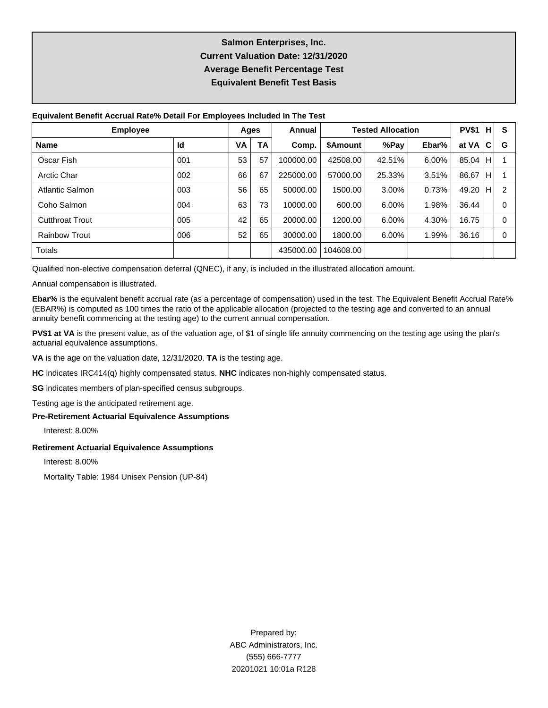# **Salmon Enterprises, Inc. Current Valuation Date: 12/31/2020 Average Benefit Percentage Test Equivalent Benefit Test Basis**

| <b>Employee</b>        | Ages |    | Annual | <b>Tested Allocation</b> |                 |        | <b>PV\$1</b> | н     | S   |   |
|------------------------|------|----|--------|--------------------------|-----------------|--------|--------------|-------|-----|---|
| <b>Name</b>            | ld   | VA | ТA     | Comp.                    | <b>\$Amount</b> | %Pay   | Ebar%        | at VA | C   | G |
| Oscar Fish             | 001  | 53 | 57     | 100000.00                | 42508.00        | 42.51% | 6.00%        | 85.04 | lН. |   |
| Arctic Char            | 002  | 66 | 67     | 225000.00                | 57000.00        | 25.33% | 3.51%        | 86.67 | IH. |   |
| Atlantic Salmon        | 003  | 56 | 65     | 50000.00                 | 1500.00         | 3.00%  | 0.73%        | 49.20 | IН. | 2 |
| Coho Salmon            | 004  | 63 | 73     | 10000.00                 | 600.00          | 6.00%  | 1.98%        | 36.44 |     | 0 |
| <b>Cutthroat Trout</b> | 005  | 42 | 65     | 20000.00                 | 1200.00         | 6.00%  | 4.30%        | 16.75 |     | 0 |
| <b>Rainbow Trout</b>   | 006  | 52 | 65     | 30000.00                 | 1800.00         | 6.00%  | 1.99%        | 36.16 |     | 0 |
| Totals                 |      |    |        | 435000.00                | 104608.00       |        |              |       |     |   |

Qualified non-elective compensation deferral (QNEC), if any, is included in the illustrated allocation amount.

Annual compensation is illustrated.

**Ebar%** is the equivalent benefit accrual rate (as a percentage of compensation) used in the test. The Equivalent Benefit Accrual Rate% (EBAR%) is computed as 100 times the ratio of the applicable allocation (projected to the testing age and converted to an annual annuity benefit commencing at the testing age) to the current annual compensation.

PV\$1 at VA is the present value, as of the valuation age, of \$1 of single life annuity commencing on the testing age using the plan's actuarial equivalence assumptions.

**VA** is the age on the valuation date, 12/31/2020. **TA** is the testing age.

**HC** indicates IRC414(q) highly compensated status. **NHC** indicates non-highly compensated status.

**SG** indicates members of plan-specified census subgroups.

Testing age is the anticipated retirement age.

#### **Pre-Retirement Actuarial Equivalence Assumptions**

Interest: 8.00%

#### **Retirement Actuarial Equivalence Assumptions**

Interest: 8.00%

Mortality Table: 1984 Unisex Pension (UP-84)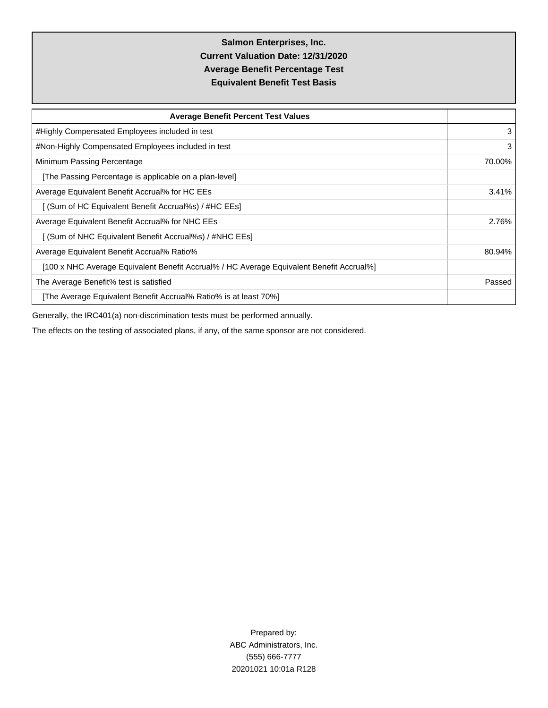# **Salmon Enterprises, Inc. Current Valuation Date: 12/31/2020 Average Benefit Percentage Test Equivalent Benefit Test Basis**

| <b>Average Benefit Percent Test Values</b>                                               |        |  |  |  |  |  |
|------------------------------------------------------------------------------------------|--------|--|--|--|--|--|
| #Highly Compensated Employees included in test                                           | 3      |  |  |  |  |  |
| #Non-Highly Compensated Employees included in test                                       |        |  |  |  |  |  |
| Minimum Passing Percentage                                                               |        |  |  |  |  |  |
| [The Passing Percentage is applicable on a plan-level]                                   |        |  |  |  |  |  |
| Average Equivalent Benefit Accrual% for HC EEs                                           |        |  |  |  |  |  |
| [ (Sum of HC Equivalent Benefit Accrual%s) / #HC EEs]                                    |        |  |  |  |  |  |
| Average Equivalent Benefit Accrual% for NHC EEs                                          | 2.76%  |  |  |  |  |  |
| [ (Sum of NHC Equivalent Benefit Accrual%s) / #NHC EEs]                                  |        |  |  |  |  |  |
| Average Equivalent Benefit Accrual% Ratio%                                               | 80.94% |  |  |  |  |  |
| [100 x NHC Average Equivalent Benefit Accrual% / HC Average Equivalent Benefit Accrual%] |        |  |  |  |  |  |
| The Average Benefit% test is satisfied                                                   | Passed |  |  |  |  |  |
| [The Average Equivalent Benefit Accrual% Ratio% is at least 70%]                         |        |  |  |  |  |  |

Generally, the IRC401(a) non-discrimination tests must be performed annually.

The effects on the testing of associated plans, if any, of the same sponsor are not considered.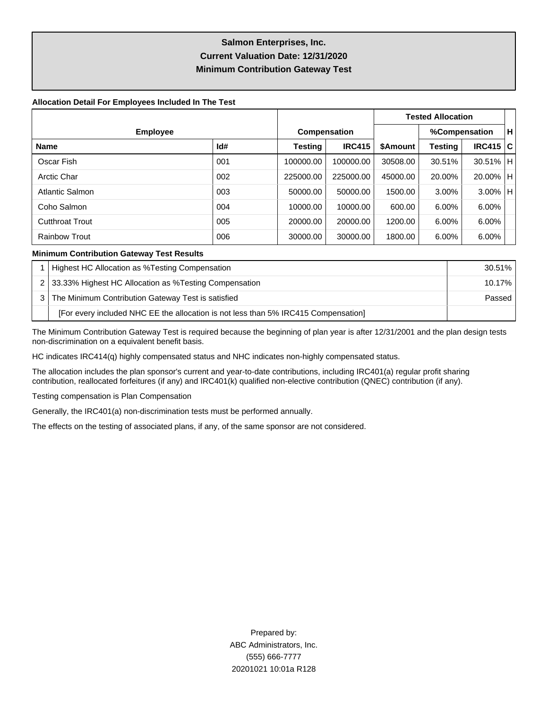# **Salmon Enterprises, Inc. Current Valuation Date: 12/31/2020 Minimum Contribution Gateway Test**

#### **Allocation Detail For Employees Included In The Test**

|                        |                     |           |               | <b>Tested Allocation</b> |         |               |  |
|------------------------|---------------------|-----------|---------------|--------------------------|---------|---------------|--|
| <b>Employee</b>        | <b>Compensation</b> |           |               | %Compensation            |         |               |  |
| <b>Name</b>            | Id#                 | Testing   | <b>IRC415</b> | \$Amount                 | Testing | IRC415 C      |  |
| Oscar Fish             | 001                 | 100000.00 | 100000.00     | 30508.00                 | 30.51%  | $30.51\%$   H |  |
| <b>Arctic Char</b>     | 002                 | 225000.00 | 225000.00     | 45000.00                 | 20.00%  | 20.00%   H    |  |
| <b>Atlantic Salmon</b> | 003                 | 50000.00  | 50000.00      | 1500.00                  | 3.00%   | $3.00\%$  H   |  |
| Coho Salmon            | 004                 | 10000.00  | 10000.00      | 600.00                   | 6.00%   | 6.00%         |  |
| <b>Cutthroat Trout</b> | 005                 | 20000.00  | 20000.00      | 1200.00                  | 6.00%   | $6.00\%$      |  |
| <b>Rainbow Trout</b>   | 006                 | 30000.00  | 30000.00      | 1800.00                  | 6.00%   | 6.00%         |  |

#### **Minimum Contribution Gateway Test Results**

| Highest HC Allocation as %Testing Compensation                                     | 30.51%    |
|------------------------------------------------------------------------------------|-----------|
| 2 33.33% Highest HC Allocation as % Testing Compensation                           | $10.17\%$ |
| The Minimum Contribution Gateway Test is satisfied                                 | Passed    |
| [For every included NHC EE the allocation is not less than 5% IRC415 Compensation] |           |

The Minimum Contribution Gateway Test is required because the beginning of plan year is after 12/31/2001 and the plan design tests non-discrimination on a equivalent benefit basis.

HC indicates IRC414(q) highly compensated status and NHC indicates non-highly compensated status.

The allocation includes the plan sponsor's current and year-to-date contributions, including IRC401(a) regular profit sharing contribution, reallocated forfeitures (if any) and IRC401(k) qualified non-elective contribution (QNEC) contribution (if any).

Testing compensation is Plan Compensation

Generally, the IRC401(a) non-discrimination tests must be performed annually.

The effects on the testing of associated plans, if any, of the same sponsor are not considered.